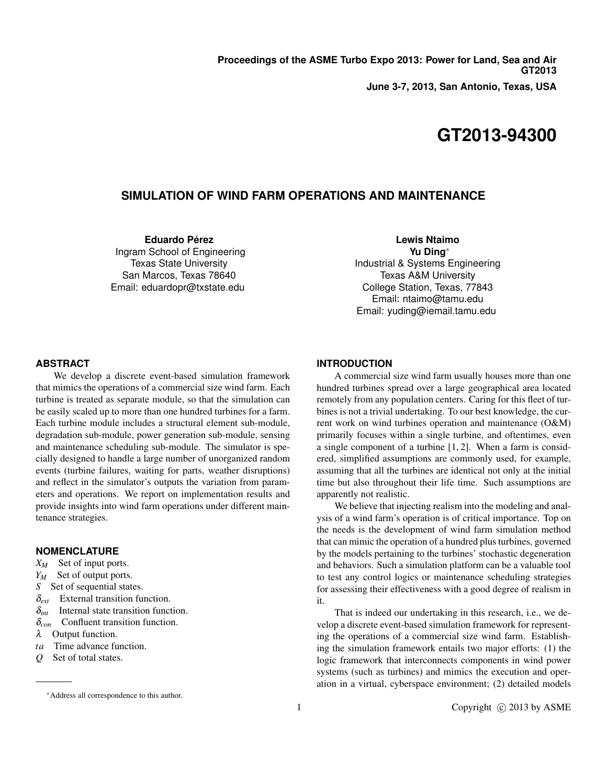**Proceedings of the ASME Turbo Expo 2013: Power for Land, Sea and Air GT2013**

**June 3-7, 2013, San Antonio, Texas, USA**

# **GT2013-94300**

# **SIMULATION OF WIND FARM OPERATIONS AND MAINTENANCE**

**Eduardo Perez ´**

Ingram School of Engineering Texas State University San Marcos, Texas 78640 Email: eduardopr@txstate.edu

**Lewis Ntaimo Yu Ding**<sup>∗</sup> Industrial & Systems Engineering Texas A&M University College Station, Texas, 77843 Email: ntaimo@tamu.edu Email: yuding@iemail.tamu.edu

## **ABSTRACT**

We develop a discrete event-based simulation framework that mimics the operations of a commercial size wind farm. Each turbine is treated as separate module, so that the simulation can be easily scaled up to more than one hundred turbines for a farm. Each turbine module includes a structural element sub-module, degradation sub-module, power generation sub-module, sensing and maintenance scheduling sub-module. The simulator is specially designed to handle a large number of unorganized random events (turbine failures, waiting for parts, weather disruptions) and reflect in the simulator's outputs the variation from parameters and operations. We report on implementation results and provide insights into wind farm operations under different maintenance strategies.

#### **NOMENCLATURE**

- *X<sup>M</sup>* Set of input ports.
- *Y<sup>M</sup>* Set of output ports.
- *S* Set of sequential states.
- δ*ext* External transition function.
- δ*int* Internal state transition function.
- δ*con* Confluent transition function.
- λ Output function.
- *ta* Time advance function.
- *Q* Set of total states.

#### **INTRODUCTION**

A commercial size wind farm usually houses more than one hundred turbines spread over a large geographical area located remotely from any population centers. Caring for this fleet of turbines is not a trivial undertaking. To our best knowledge, the current work on wind turbines operation and maintenance (O&M) primarily focuses within a single turbine, and oftentimes, even a single component of a turbine [1, 2]. When a farm is considered, simplified assumptions are commonly used, for example, assuming that all the turbines are identical not only at the initial time but also throughout their life time. Such assumptions are apparently not realistic.

We believe that injecting realism into the modeling and analysis of a wind farm's operation is of critical importance. Top on the needs is the development of wind farm simulation method that can mimic the operation of a hundred plus turbines, governed by the models pertaining to the turbines' stochastic degeneration and behaviors. Such a simulation platform can be a valuable tool to test any control logics or maintenance scheduling strategies for assessing their effectiveness with a good degree of realism in it.

That is indeed our undertaking in this research, i.e., we develop a discrete event-based simulation framework for representing the operations of a commercial size wind farm. Establishing the simulation framework entails two major efforts: (1) the logic framework that interconnects components in wind power systems (such as turbines) and mimics the execution and operation in a virtual, cyberspace environment; (2) detailed models

<sup>∗</sup>Address all correspondence to this author.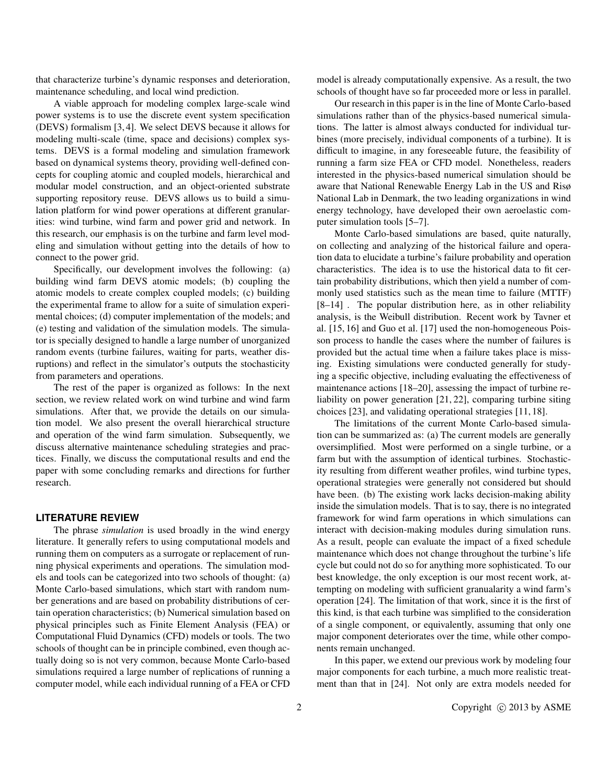that characterize turbine's dynamic responses and deterioration, maintenance scheduling, and local wind prediction.

A viable approach for modeling complex large-scale wind power systems is to use the discrete event system specification (DEVS) formalism [3, 4]. We select DEVS because it allows for modeling multi-scale (time, space and decisions) complex systems. DEVS is a formal modeling and simulation framework based on dynamical systems theory, providing well-defined concepts for coupling atomic and coupled models, hierarchical and modular model construction, and an object-oriented substrate supporting repository reuse. DEVS allows us to build a simulation platform for wind power operations at different granularities: wind turbine, wind farm and power grid and network. In this research, our emphasis is on the turbine and farm level modeling and simulation without getting into the details of how to connect to the power grid.

Specifically, our development involves the following: (a) building wind farm DEVS atomic models; (b) coupling the atomic models to create complex coupled models; (c) building the experimental frame to allow for a suite of simulation experimental choices; (d) computer implementation of the models; and (e) testing and validation of the simulation models. The simulator is specially designed to handle a large number of unorganized random events (turbine failures, waiting for parts, weather disruptions) and reflect in the simulator's outputs the stochasticity from parameters and operations.

The rest of the paper is organized as follows: In the next section, we review related work on wind turbine and wind farm simulations. After that, we provide the details on our simulation model. We also present the overall hierarchical structure and operation of the wind farm simulation. Subsequently, we discuss alternative maintenance scheduling strategies and practices. Finally, we discuss the computational results and end the paper with some concluding remarks and directions for further research.

### **LITERATURE REVIEW**

The phrase *simulation* is used broadly in the wind energy literature. It generally refers to using computational models and running them on computers as a surrogate or replacement of running physical experiments and operations. The simulation models and tools can be categorized into two schools of thought: (a) Monte Carlo-based simulations, which start with random number generations and are based on probability distributions of certain operation characteristics; (b) Numerical simulation based on physical principles such as Finite Element Analysis (FEA) or Computational Fluid Dynamics (CFD) models or tools. The two schools of thought can be in principle combined, even though actually doing so is not very common, because Monte Carlo-based simulations required a large number of replications of running a computer model, while each individual running of a FEA or CFD model is already computationally expensive. As a result, the two schools of thought have so far proceeded more or less in parallel.

Our research in this paper is in the line of Monte Carlo-based simulations rather than of the physics-based numerical simulations. The latter is almost always conducted for individual turbines (more precisely, individual components of a turbine). It is difficult to imagine, in any foreseeable future, the feasibility of running a farm size FEA or CFD model. Nonetheless, readers interested in the physics-based numerical simulation should be aware that National Renewable Energy Lab in the US and Risø National Lab in Denmark, the two leading organizations in wind energy technology, have developed their own aeroelastic computer simulation tools [5–7].

Monte Carlo-based simulations are based, quite naturally, on collecting and analyzing of the historical failure and operation data to elucidate a turbine's failure probability and operation characteristics. The idea is to use the historical data to fit certain probability distributions, which then yield a number of commonly used statistics such as the mean time to failure (MTTF) [8–14] . The popular distribution here, as in other reliability analysis, is the Weibull distribution. Recent work by Tavner et al. [15, 16] and Guo et al. [17] used the non-homogeneous Poisson process to handle the cases where the number of failures is provided but the actual time when a failure takes place is missing. Existing simulations were conducted generally for studying a specific objective, including evaluating the effectiveness of maintenance actions [18–20], assessing the impact of turbine reliability on power generation [21, 22], comparing turbine siting choices [23], and validating operational strategies [11, 18].

The limitations of the current Monte Carlo-based simulation can be summarized as: (a) The current models are generally oversimplified. Most were performed on a single turbine, or a farm but with the assumption of identical turbines. Stochasticity resulting from different weather profiles, wind turbine types, operational strategies were generally not considered but should have been. (b) The existing work lacks decision-making ability inside the simulation models. That is to say, there is no integrated framework for wind farm operations in which simulations can interact with decision-making modules during simulation runs. As a result, people can evaluate the impact of a fixed schedule maintenance which does not change throughout the turbine's life cycle but could not do so for anything more sophisticated. To our best knowledge, the only exception is our most recent work, attempting on modeling with sufficient granualarity a wind farm's operation [24]. The limitation of that work, since it is the first of this kind, is that each turbine was simplified to the consideration of a single component, or equivalently, assuming that only one major component deteriorates over the time, while other components remain unchanged.

In this paper, we extend our previous work by modeling four major components for each turbine, a much more realistic treatment than that in [24]. Not only are extra models needed for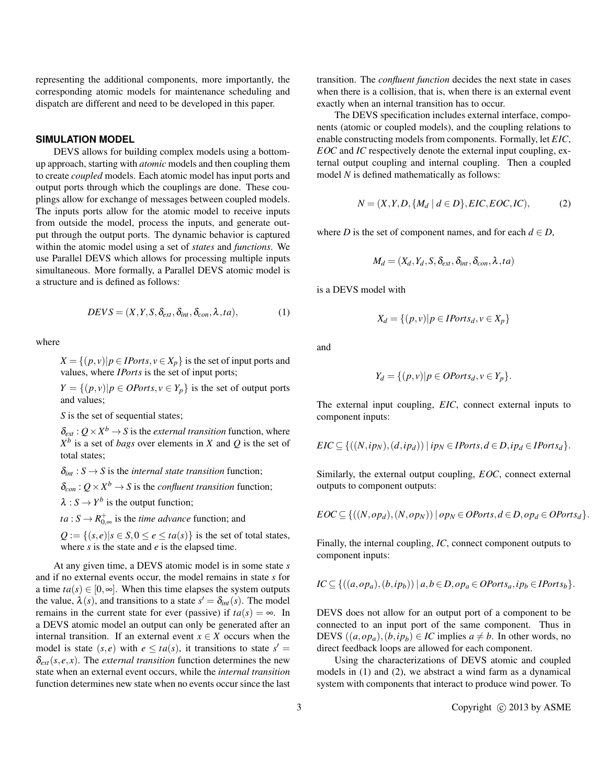representing the additional components, more importantly, the corresponding atomic models for maintenance scheduling and dispatch are different and need to be developed in this paper.

#### **SIMULATION MODEL**

DEVS allows for building complex models using a bottomup approach, starting with *atomic* models and then coupling them to create *coupled* models. Each atomic model has input ports and output ports through which the couplings are done. These couplings allow for exchange of messages between coupled models. The inputs ports allow for the atomic model to receive inputs from outside the model, process the inputs, and generate output through the output ports. The dynamic behavior is captured within the atomic model using a set of *states* and *functions*. We use Parallel DEVS which allows for processing multiple inputs simultaneous. More formally, a Parallel DEVS atomic model is a structure and is defined as follows:

$$
DEVS = (X, Y, S, \delta_{ext}, \delta_{int}, \delta_{con}, \lambda, ta),
$$
 (1)

where

 $X = \{(p, v) | p \in \text{IPorts}, v \in X_p\}$  is the set of input ports and values, where *IPorts* is the set of input ports;

 $Y = \{(p, v) | p \in \text{OPorts}, v \in Y_p\}$  is the set of output ports and values;

*S* is the set of sequential states;

 $\delta_{ext}$ :  $Q \times X^b \rightarrow S$  is the *external transition* function, where *X b* is a set of *bags* over elements in *X* and *Q* is the set of total states;

 $\delta_{int}: S \to S$  is the *internal state transition* function;

 $\delta_{con} : Q \times X^b \to S$  is the *confluent transition* function;

 $\lambda: S \to Y^b$  is the output function;

 $ta: S \rightarrow R_{0,\infty}^+$  is the *time advance* function; and

 $Q := \{(s, e) | s \in S, 0 \leq e \leq ta(s) \}$  is the set of total states, where *s* is the state and *e* is the elapsed time.

At any given time, a DEVS atomic model is in some state *s* and if no external events occur, the model remains in state *s* for a time  $ta(s) \in [0, \infty]$ . When this time elapses the system outputs the value,  $\lambda(s)$ , and transitions to a state  $s' = \delta_{int}(s)$ . The model remains in the current state for ever (passive) if  $ta(s) = \infty$ . In a DEVS atomic model an output can only be generated after an internal transition. If an external event  $x \in X$  occurs when the model is state  $(s, e)$  with  $e \leq ta(s)$ , it transitions to state  $s' =$  $\delta_{ext}(s, e, x)$ . The *external transition* function determines the new state when an external event occurs, while the *internal transition* function determines new state when no events occur since the last

transition. The *confluent function* decides the next state in cases when there is a collision, that is, when there is an external event exactly when an internal transition has to occur.

The DEVS specification includes external interface, components (atomic or coupled models), and the coupling relations to enable constructing models from components. Formally, let *EIC*, *EOC* and *IC* respectively denote the external input coupling, external output coupling and internal coupling. Then a coupled model *N* is defined mathematically as follows:

$$
N = (X, Y, D, \{M_d \mid d \in D\}, EIC, EOC, IC), \tag{2}
$$

where *D* is the set of component names, and for each  $d \in D$ ,

$$
M_d = (X_d, Y_d, S, \delta_{ext}, \delta_{int}, \delta_{con}, \lambda, ta)
$$

is a DEVS model with

$$
X_d = \{(p, v) | p \in \text{IPorts}_d, v \in X_p\}
$$

and

$$
Y_d = \{ (p, v) | p \in \text{OPorts}_d, v \in Y_p \}.
$$

The external input coupling, *EIC*, connect external inputs to component inputs:

$$
EIC \subseteq \{((N, ip_N), (d, ip_d)) \mid ip_N \in IPorts, d \in D, ip_d \in IPorts_d\}.
$$

Similarly, the external output coupling, *EOC*, connect external outputs to component outputs:

$$
EOC \subseteq \{ ((N, op_d), (N, op_N)) \mid op_N \in OPorts, d \in D, op_d \in OPorts_d \}
$$

Finally, the internal coupling, *IC*, connect component outputs to component inputs:

$$
IC \subseteq \{((a, op_a), (b, ip_b)) \mid a, b \in D, op_a \in \text{OPorts}_a, ip_b \in \text{IPorts}_b\}.
$$

DEVS does not allow for an output port of a component to be connected to an input port of the same component. Thus in DEVS  $((a, op_a), (b, ip_b) \in IC$  implies  $a \neq b$ . In other words, no direct feedback loops are allowed for each component.

Using the characterizations of DEVS atomic and coupled models in (1) and (2), we abstract a wind farm as a dynamical system with components that interact to produce wind power. To

3 Copyright (c) 2013 by ASME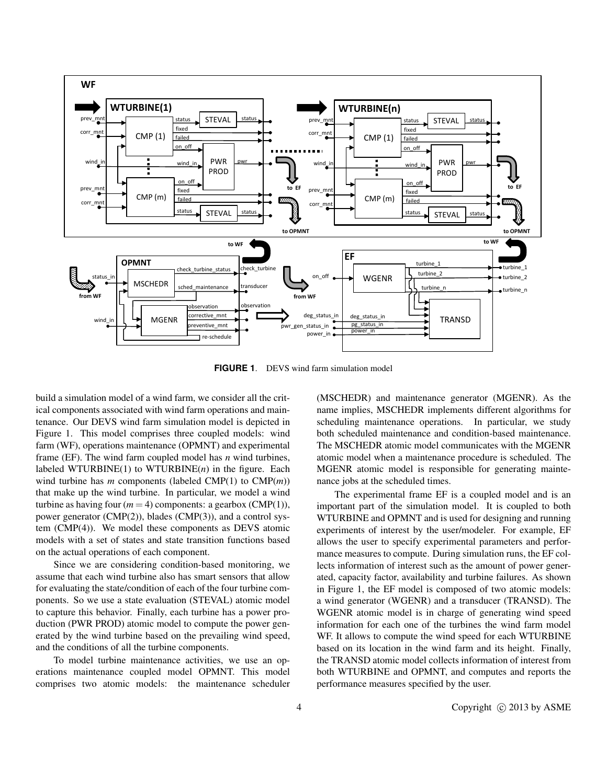

**FIGURE 1**. DEVS wind farm simulation model

build a simulation model of a wind farm, we consider all the critical components associated with wind farm operations and maintenance. Our DEVS wind farm simulation model is depicted in Figure 1. This model comprises three coupled models: wind farm (WF), operations maintenance (OPMNT) and experimental frame (EF). The wind farm coupled model has *n* wind turbines, labeled WTURBINE(1) to WTURBINE(*n*) in the figure. Each wind turbine has *m* components (labeled CMP(1) to CMP(*m*)) that make up the wind turbine. In particular, we model a wind turbine as having four  $(m = 4)$  components: a gearbox  $(CMP(1)),$ power generator (CMP(2)), blades (CMP(3)), and a control system (CMP(4)). We model these components as DEVS atomic models with a set of states and state transition functions based on the actual operations of each component.

Since we are considering condition-based monitoring, we assume that each wind turbine also has smart sensors that allow for evaluating the state/condition of each of the four turbine components. So we use a state evaluation (STEVAL) atomic model to capture this behavior. Finally, each turbine has a power production (PWR PROD) atomic model to compute the power generated by the wind turbine based on the prevailing wind speed, and the conditions of all the turbine components.

To model turbine maintenance activities, we use an operations maintenance coupled model OPMNT. This model comprises two atomic models: the maintenance scheduler

simulation model of a wind farm, we consider all the crit-<br>(MSCHEDR) and maintenance generator (MGENR). As the name implies, MSCHEDR implements different algorithms for scheduling maintenance operations. In particular, we study both scheduled maintenance and condition-based maintenance. The MSCHEDR atomic model communicates with the MGENR atomic model when a maintenance procedure is scheduled. The MGENR atomic model is responsible for generating maintenance jobs at the scheduled times.

> The experimental frame EF is a coupled model and is an important part of the simulation model. It is coupled to both WTURBINE and OPMNT and is used for designing and running experiments of interest by the user/modeler. For example, EF allows the user to specify experimental parameters and performance measures to compute. During simulation runs, the EF collects information of interest such as the amount of power generated, capacity factor, availability and turbine failures. As shown in Figure 1, the EF model is composed of two atomic models: a wind generator (WGENR) and a transducer (TRANSD). The WGENR atomic model is in charge of generating wind speed information for each one of the turbines the wind farm model WF. It allows to compute the wind speed for each WTURBINE based on its location in the wind farm and its height. Finally, the TRANSD atomic model collects information of interest from both WTURBINE and OPMNT, and computes and reports the performance measures specified by the user.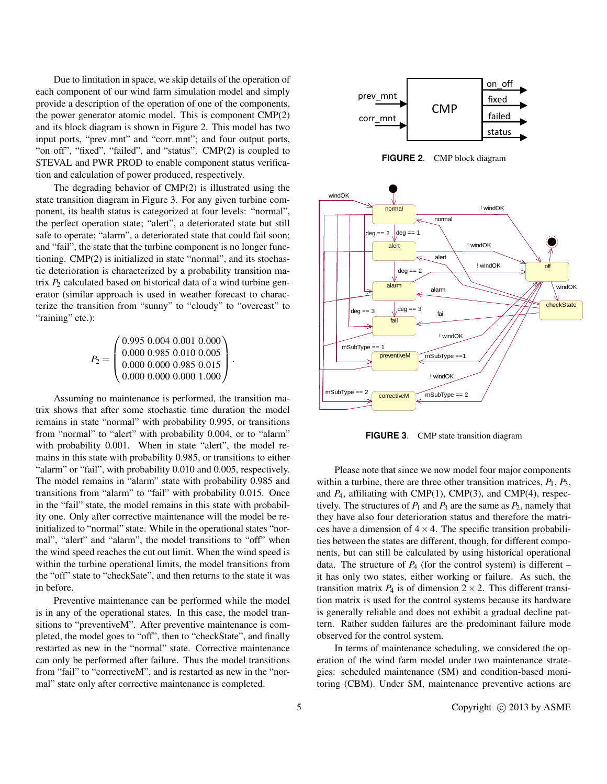Due to limitation in space, we skip details of the operation of each component of our wind farm simulation model and simply provide a description of the operation of one of the components, the power generator atomic model. This is component CMP(2) and its block diagram is shown in Figure 2. This model has two input ports, "prev\_mnt" and "corr\_mnt"; and four output ports, "on off", "fixed", "failed", and "status". CMP(2) is coupled to STEVAL and PWR PROD to enable component status verification and calculation of power produced, respectively.

The degrading behavior of CMP(2) is illustrated using the state transition diagram in Figure 3. For any given turbine component, its health status is categorized at four levels: "normal", the perfect operation state; "alert", a deteriorated state but still safe to operate; "alarm", a deteriorated state that could fail soon; and "fail", the state that the turbine component is no longer functioning. CMP(2) is initialized in state "normal", and its stochastic deterioration is characterized by a probability transition matrix  $P_2$  calculated based on historical data of a wind turbine generator (similar approach is used in weather forecast to characterize the transition from "sunny" to "cloudy" to "overcast" to "raining" etc.):

$$
P_2 = \left(\begin{array}{ccc} 0.995 & 0.004 & 0.001 & 0.000 \\ 0.000 & 0.985 & 0.010 & 0.005 \\ 0.000 & 0.000 & 0.985 & 0.015 \\ 0.000 & 0.000 & 0.000 & 1.000 \end{array}\right).
$$

Assuming no maintenance is performed, the transition matrix shows that after some stochastic time duration the model remains in state "normal" with probability 0.995, or transitions from "normal" to "alert" with probability 0.004, or to "alarm" with probability 0.001. When in state "alert", the model remains in this state with probability 0.985, or transitions to either "alarm" or "fail", with probability 0.010 and 0.005, respectively. The model remains in "alarm" state with probability 0.985 and transitions from "alarm" to "fail" with probability 0.015. Once in the "fail" state, the model remains in this state with probability one. Only after corrective maintenance will the model be reinitialized to "normal" state. While in the operational states "normal", "alert" and "alarm", the model transitions to "off" when the wind speed reaches the cut out limit. When the wind speed is within the turbine operational limits, the model transitions from the "off" state to "checkSate", and then returns to the state it was in before.

Preventive maintenance can be performed while the model is in any of the operational states. In this case, the model transitions to "preventiveM". After preventive maintenance is completed, the model goes to "off", then to "checkState", and finally restarted as new in the "normal" state. Corrective maintenance can only be performed after failure. Thus the model transitions from "fail" to "correctiveM", and is restarted as new in the "normal" state only after corrective maintenance is completed.



**FIGURE 2**. CMP block diagram



**FIGURE 3**. CMP state transition diagram

Please note that since we now model four major components within a turbine, there are three other transition matrices,  $P_1$ ,  $P_3$ , and *P*4, affiliating with CMP(1), CMP(3), and CMP(4), respectively. The structures of  $P_1$  and  $P_3$  are the same as  $P_2$ , namely that they have also four deterioration status and therefore the matrices have a dimension of  $4 \times 4$ . The specific transition probabilities between the states are different, though, for different components, but can still be calculated by using historical operational data. The structure of  $P_4$  (for the control system) is different – it has only two states, either working or failure. As such, the transition matrix  $P_4$  is of dimension  $2 \times 2$ . This different transition matrix is used for the control systems because its hardware is generally reliable and does not exhibit a gradual decline pattern. Rather sudden failures are the predominant failure mode observed for the control system.

In terms of maintenance scheduling, we considered the operation of the wind farm model under two maintenance strategies: scheduled maintenance (SM) and condition-based monitoring (CBM). Under SM, maintenance preventive actions are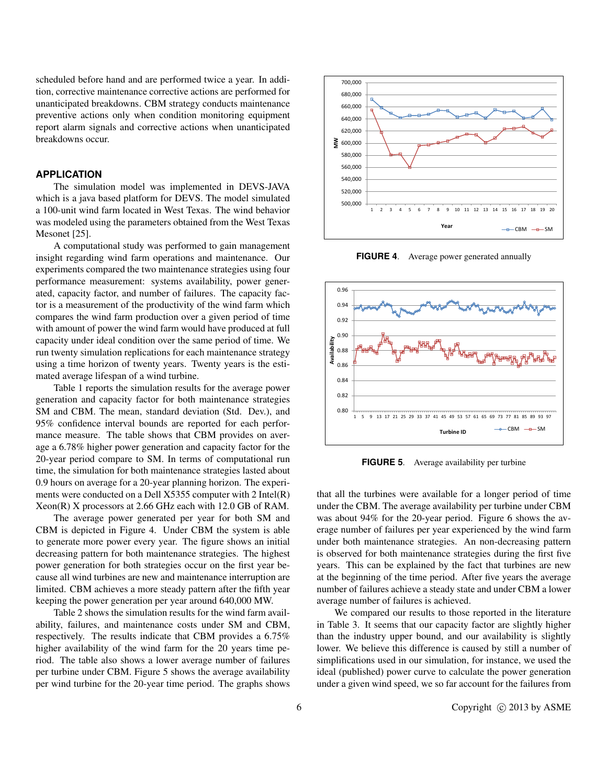scheduled before hand and are performed twice a year. In addition, corrective maintenance corrective actions are performed for unanticipated breakdowns. CBM strategy conducts maintenance preventive actions only when condition monitoring equipment report alarm signals and corrective actions when unanticipated breakdowns occur.

# **APPLICATION**

The simulation model was implemented in DEVS-JAVA which is a java based platform for DEVS. The model simulated a 100-unit wind farm located in West Texas. The wind behavior was modeled using the parameters obtained from the West Texas Mesonet [25].

A computational study was performed to gain management insight regarding wind farm operations and maintenance. Our experiments compared the two maintenance strategies using four performance measurement: systems availability, power generated, capacity factor, and number of failures. The capacity factor is a measurement of the productivity of the wind farm which compares the wind farm production over a given period of time with amount of power the wind farm would have produced at full capacity under ideal condition over the same period of time. We run twenty simulation replications for each maintenance strategy using a time horizon of twenty years. Twenty years is the estimated average lifespan of a wind turbine.

Table 1 reports the simulation results for the average power generation and capacity factor for both maintenance strategies SM and CBM. The mean, standard deviation (Std. Dev.), and 95% confidence interval bounds are reported for each performance measure. The table shows that CBM provides on average a 6.78% higher power generation and capacity factor for the 20-year period compare to SM. In terms of computational run time, the simulation for both maintenance strategies lasted about 0.9 hours on average for a 20-year planning horizon. The experiments were conducted on a Dell X5355 computer with 2 Intel(R) Xeon(R) X processors at 2.66 GHz each with 12.0 GB of RAM.

The average power generated per year for both SM and CBM is depicted in Figure 4. Under CBM the system is able to generate more power every year. The figure shows an initial decreasing pattern for both maintenance strategies. The highest power generation for both strategies occur on the first year because all wind turbines are new and maintenance interruption are limited. CBM achieves a more steady pattern after the fifth year keeping the power generation per year around 640,000 MW.

Table 2 shows the simulation results for the wind farm availability, failures, and maintenance costs under SM and CBM, respectively. The results indicate that CBM provides a 6.75% higher availability of the wind farm for the 20 years time period. The table also shows a lower average number of failures per turbine under CBM. Figure 5 shows the average availability per wind turbine for the 20-year time period. The graphs shows



**FIGURE 4**. Average power generated annually



**FIGURE 5**. Average availability per turbine

that all the turbines were available for a longer period of time under the CBM. The average availability per turbine under CBM was about 94% for the 20-year period. Figure 6 shows the average number of failures per year experienced by the wind farm under both maintenance strategies. An non-decreasing pattern is observed for both maintenance strategies during the first five years. This can be explained by the fact that turbines are new at the beginning of the time period. After five years the average number of failures achieve a steady state and under CBM a lower average number of failures is achieved.

We compared our results to those reported in the literature in Table 3. It seems that our capacity factor are slightly higher than the industry upper bound, and our availability is slightly lower. We believe this difference is caused by still a number of simplifications used in our simulation, for instance, we used the ideal (published) power curve to calculate the power generation under a given wind speed, we so far account for the failures from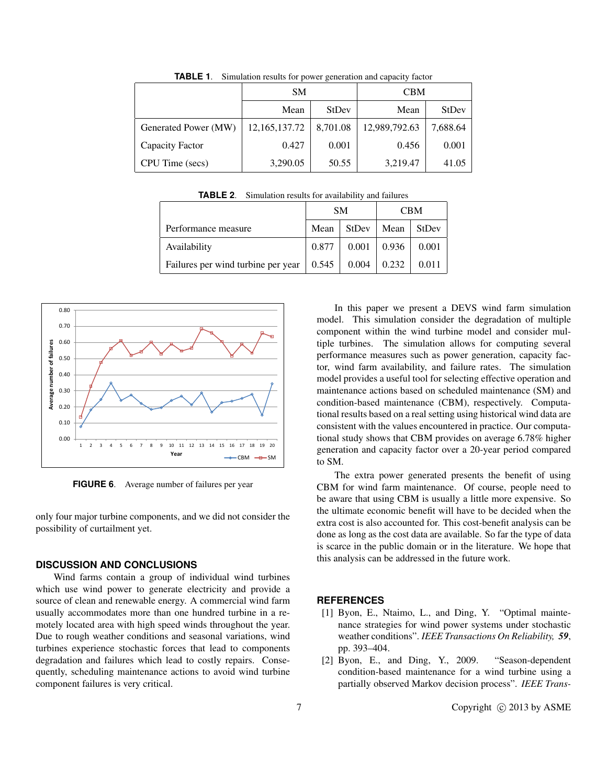|                      | <b>SM</b>     |          | <b>CBM</b>    |          |  |  |
|----------------------|---------------|----------|---------------|----------|--|--|
|                      | Mean          | StDev    | Mean          | StDev    |  |  |
| Generated Power (MW) | 12,165,137.72 | 8,701.08 | 12,989,792.63 | 7,688.64 |  |  |
| Capacity Factor      | 0.427         | 0.001    | 0.456         | 0.001    |  |  |
| CPU Time (secs)      | 3,290.05      | 50.55    | 3,219.47      | 41.05    |  |  |

**TABLE 1**. Simulation results for power generation and capacity factor

| <b>TABLE 2.</b> Simulation results for availability and failures |       |                   |             |              |
|------------------------------------------------------------------|-------|-------------------|-------------|--------------|
|                                                                  | SМ    |                   | <b>CBM</b>  |              |
| Performance measure                                              | Mean  | StDev             | Mean        | <b>StDev</b> |
| Availability                                                     | 0.877 | 0.001             | $\pm 0.936$ | 0.001        |
| Failures per wind turbine per year                               | 0.545 | $0.004 \pm 0.232$ |             | 0.011        |

**TABLE 2**. Simulation results for availability and failures



**FIGURE 6**. Average number of failures per year

only four major turbine components, and we did not consider the possibility of curtailment yet.

# **DISCUSSION AND CONCLUSIONS**

Wind farms contain a group of individual wind turbines which use wind power to generate electricity and provide a source of clean and renewable energy. A commercial wind farm usually accommodates more than one hundred turbine in a remotely located area with high speed winds throughout the year. Due to rough weather conditions and seasonal variations, wind turbines experience stochastic forces that lead to components degradation and failures which lead to costly repairs. Consequently, scheduling maintenance actions to avoid wind turbine component failures is very critical.

In this paper we present a DEVS wind farm simulation model. This simulation consider the degradation of multiple component within the wind turbine model and consider multiple turbines. The simulation allows for computing several performance measures such as power generation, capacity factor, wind farm availability, and failure rates. The simulation model provides a useful tool for selecting effective operation and maintenance actions based on scheduled maintenance (SM) and condition-based maintenance (CBM), respectively. Computational results based on a real setting using historical wind data are consistent with the values encountered in practice. Our computational study shows that CBM provides on average 6.78% higher generation and capacity factor over a 20-year period compared to SM.

The extra power generated presents the benefit of using CBM for wind farm maintenance. Of course, people need to be aware that using CBM is usually a little more expensive. So the ultimate economic benefit will have to be decided when the extra cost is also accounted for. This cost-benefit analysis can be done as long as the cost data are available. So far the type of data is scarce in the public domain or in the literature. We hope that this analysis can be addressed in the future work.

#### **REFERENCES**

- [1] Byon, E., Ntaimo, L., and Ding, Y. "Optimal maintenance strategies for wind power systems under stochastic weather conditions". *IEEE Transactions On Reliability, 59*, pp. 393–404.
- [2] Byon, E., and Ding, Y., 2009. "Season-dependent condition-based maintenance for a wind turbine using a partially observed Markov decision process". *IEEE Trans-*